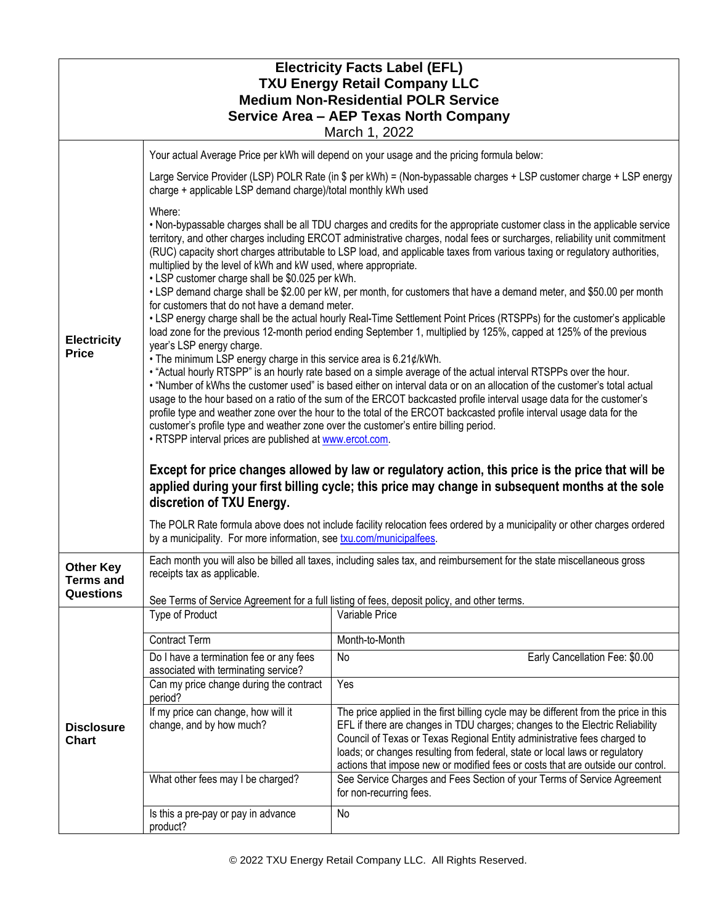| <b>Electricity Facts Label (EFL)</b><br><b>TXU Energy Retail Company LLC</b><br><b>Medium Non-Residential POLR Service</b><br>Service Area - AEP Texas North Company<br>March 1, 2022 |                                                                                                                                                                                                                                                                                                                                                                                                                                                                                                                                                                                                                                                |                                                                                                                                                                                                                                                                                                                                                                                                                    |  |  |
|---------------------------------------------------------------------------------------------------------------------------------------------------------------------------------------|------------------------------------------------------------------------------------------------------------------------------------------------------------------------------------------------------------------------------------------------------------------------------------------------------------------------------------------------------------------------------------------------------------------------------------------------------------------------------------------------------------------------------------------------------------------------------------------------------------------------------------------------|--------------------------------------------------------------------------------------------------------------------------------------------------------------------------------------------------------------------------------------------------------------------------------------------------------------------------------------------------------------------------------------------------------------------|--|--|
| Your actual Average Price per kWh will depend on your usage and the pricing formula below:                                                                                            |                                                                                                                                                                                                                                                                                                                                                                                                                                                                                                                                                                                                                                                |                                                                                                                                                                                                                                                                                                                                                                                                                    |  |  |
| <b>Electricity</b><br><b>Price</b>                                                                                                                                                    | charge + applicable LSP demand charge)/total monthly kWh used                                                                                                                                                                                                                                                                                                                                                                                                                                                                                                                                                                                  | Large Service Provider (LSP) POLR Rate (in \$ per kWh) = (Non-bypassable charges + LSP customer charge + LSP energy                                                                                                                                                                                                                                                                                                |  |  |
|                                                                                                                                                                                       | Where:<br>. Non-bypassable charges shall be all TDU charges and credits for the appropriate customer class in the applicable service<br>territory, and other charges including ERCOT administrative charges, nodal fees or surcharges, reliability unit commitment<br>(RUC) capacity short charges attributable to LSP load, and applicable taxes from various taxing or regulatory authorities,<br>multiplied by the level of kWh and kW used, where appropriate.<br>• LSP customer charge shall be \$0.025 per kWh.<br>• LSP demand charge shall be \$2.00 per kW, per month, for customers that have a demand meter, and \$50.00 per month  |                                                                                                                                                                                                                                                                                                                                                                                                                    |  |  |
|                                                                                                                                                                                       | for customers that do not have a demand meter.<br>• LSP energy charge shall be the actual hourly Real-Time Settlement Point Prices (RTSPPs) for the customer's applicable<br>load zone for the previous 12-month period ending September 1, multiplied by 125%, capped at 125% of the previous<br>year's LSP energy charge.<br>• The minimum LSP energy charge in this service area is 6.21¢/kWh.                                                                                                                                                                                                                                              |                                                                                                                                                                                                                                                                                                                                                                                                                    |  |  |
|                                                                                                                                                                                       | . "Actual hourly RTSPP" is an hourly rate based on a simple average of the actual interval RTSPPs over the hour.<br>. "Number of kWhs the customer used" is based either on interval data or on an allocation of the customer's total actual<br>usage to the hour based on a ratio of the sum of the ERCOT backcasted profile interval usage data for the customer's<br>profile type and weather zone over the hour to the total of the ERCOT backcasted profile interval usage data for the<br>customer's profile type and weather zone over the customer's entire billing period.<br>. RTSPP interval prices are published at www.ercot.com. |                                                                                                                                                                                                                                                                                                                                                                                                                    |  |  |
|                                                                                                                                                                                       | Except for price changes allowed by law or regulatory action, this price is the price that will be<br>applied during your first billing cycle; this price may change in subsequent months at the sole<br>discretion of TXU Energy.<br>The POLR Rate formula above does not include facility relocation fees ordered by a municipality or other charges ordered                                                                                                                                                                                                                                                                                 |                                                                                                                                                                                                                                                                                                                                                                                                                    |  |  |
|                                                                                                                                                                                       | by a municipality. For more information, see txu.com/municipalfees.                                                                                                                                                                                                                                                                                                                                                                                                                                                                                                                                                                            |                                                                                                                                                                                                                                                                                                                                                                                                                    |  |  |
| <b>Other Key</b><br><b>Terms and</b>                                                                                                                                                  | Each month you will also be billed all taxes, including sales tax, and reimbursement for the state miscellaneous gross<br>receipts tax as applicable.                                                                                                                                                                                                                                                                                                                                                                                                                                                                                          |                                                                                                                                                                                                                                                                                                                                                                                                                    |  |  |
| Questions                                                                                                                                                                             |                                                                                                                                                                                                                                                                                                                                                                                                                                                                                                                                                                                                                                                | See Terms of Service Agreement for a full listing of fees, deposit policy, and other terms.                                                                                                                                                                                                                                                                                                                        |  |  |
|                                                                                                                                                                                       | Type of Product                                                                                                                                                                                                                                                                                                                                                                                                                                                                                                                                                                                                                                | Variable Price                                                                                                                                                                                                                                                                                                                                                                                                     |  |  |
| <b>Disclosure</b><br><b>Chart</b>                                                                                                                                                     | <b>Contract Term</b>                                                                                                                                                                                                                                                                                                                                                                                                                                                                                                                                                                                                                           | Month-to-Month                                                                                                                                                                                                                                                                                                                                                                                                     |  |  |
|                                                                                                                                                                                       | Do I have a termination fee or any fees<br>associated with terminating service?                                                                                                                                                                                                                                                                                                                                                                                                                                                                                                                                                                | <b>No</b><br>Early Cancellation Fee: \$0.00                                                                                                                                                                                                                                                                                                                                                                        |  |  |
|                                                                                                                                                                                       | Can my price change during the contract<br>period?                                                                                                                                                                                                                                                                                                                                                                                                                                                                                                                                                                                             | Yes                                                                                                                                                                                                                                                                                                                                                                                                                |  |  |
|                                                                                                                                                                                       | If my price can change, how will it<br>change, and by how much?                                                                                                                                                                                                                                                                                                                                                                                                                                                                                                                                                                                | The price applied in the first billing cycle may be different from the price in this<br>EFL if there are changes in TDU charges; changes to the Electric Reliability<br>Council of Texas or Texas Regional Entity administrative fees charged to<br>loads; or changes resulting from federal, state or local laws or regulatory<br>actions that impose new or modified fees or costs that are outside our control. |  |  |
|                                                                                                                                                                                       | What other fees may I be charged?                                                                                                                                                                                                                                                                                                                                                                                                                                                                                                                                                                                                              | See Service Charges and Fees Section of your Terms of Service Agreement<br>for non-recurring fees.                                                                                                                                                                                                                                                                                                                 |  |  |
|                                                                                                                                                                                       | Is this a pre-pay or pay in advance<br>product?                                                                                                                                                                                                                                                                                                                                                                                                                                                                                                                                                                                                | No                                                                                                                                                                                                                                                                                                                                                                                                                 |  |  |